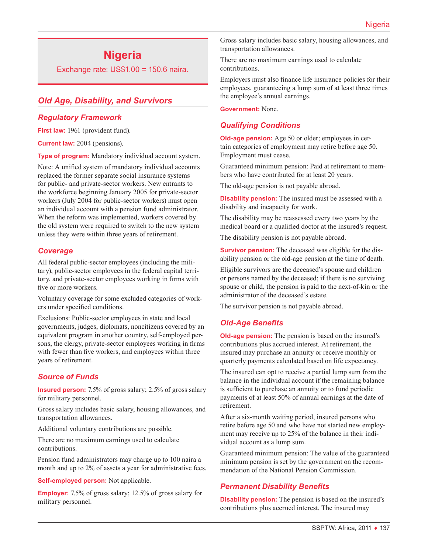# **Nigeria**

Exchange rate: US\$1.00 = 150.6 naira.

# *Old Age, Disability, and Survivors*

#### *Regulatory Framework*

First law: 1961 (provident fund).

**Current law:** 2004 (pensions).

**Type of program:** Mandatory individual account system.

Note: A unified system of mandatory individual accounts replaced the former separate social insurance systems for public- and private-sector workers. New entrants to the workforce beginning January 2005 for private-sector workers (July 2004 for public-sector workers) must open an individual account with a pension fund administrator. When the reform was implemented, workers covered by the old system were required to switch to the new system unless they were within three years of retirement.

#### *Coverage*

All federal public-sector employees (including the military), public-sector employees in the federal capital territory, and private-sector employees working in firms with five or more workers.

Voluntary coverage for some excluded categories of workers under specified conditions.

Exclusions: Public-sector employees in state and local governments, judges, diplomats, noncitizens covered by an equivalent program in another country, self-employed persons, the clergy, private-sector employees working in firms with fewer than five workers, and employees within three years of retirement.

# *Source of Funds*

**Insured person:** 7.5% of gross salary; 2.5% of gross salary for military personnel.

Gross salary includes basic salary, housing allowances, and transportation allowances.

Additional voluntary contributions are possible.

There are no maximum earnings used to calculate contributions.

Pension fund administrators may charge up to 100 naira a month and up to 2% of assets a year for administrative fees.

**Self-employed person:** Not applicable.

**Employer:** 7.5% of gross salary; 12.5% of gross salary for military personnel.

Gross salary includes basic salary, housing allowances, and transportation allowances.

There are no maximum earnings used to calculate contributions.

Employers must also finance life insurance policies for their employees, guaranteeing a lump sum of at least three times the employee's annual earnings.

**Government:** None.

# *Qualifying Conditions*

**Old-age pension:** Age 50 or older; employees in certain categories of employment may retire before age 50. Employment must cease.

Guaranteed minimum pension: Paid at retirement to members who have contributed for at least 20 years.

The old-age pension is not payable abroad.

**Disability pension:** The insured must be assessed with a disability and incapacity for work.

The disability may be reassessed every two years by the medical board or a qualified doctor at the insured's request.

The disability pension is not payable abroad.

**Survivor pension:** The deceased was eligible for the disability pension or the old-age pension at the time of death.

Eligible survivors are the deceased's spouse and children or persons named by the deceased; if there is no surviving spouse or child, the pension is paid to the next-of-kin or the administrator of the deceased's estate.

The survivor pension is not payable abroad.

# *Old-Age Benefits*

**Old-age pension:** The pension is based on the insured's contributions plus accrued interest. At retirement, the insured may purchase an annuity or receive monthly or quarterly payments calculated based on life expectancy.

The insured can opt to receive a partial lump sum from the balance in the individual account if the remaining balance is sufficient to purchase an annuity or to fund periodic payments of at least 50% of annual earnings at the date of retirement.

After a six-month waiting period, insured persons who retire before age 50 and who have not started new employment may receive up to 25% of the balance in their individual account as a lump sum.

Guaranteed minimum pension: The value of the guaranteed minimum pension is set by the government on the recommendation of the National Pension Commission.

# *Permanent Disability Benefits*

**Disability pension:** The pension is based on the insured's contributions plus accrued interest. The insured may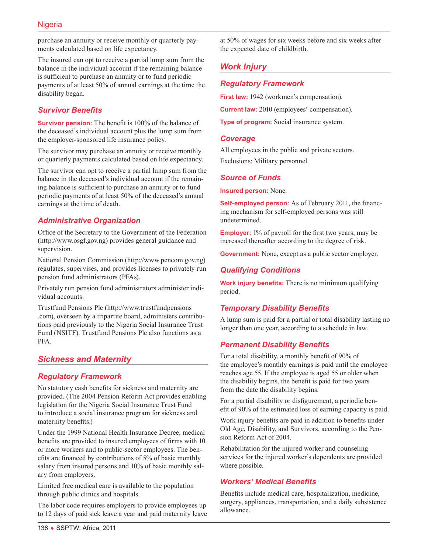purchase an annuity or receive monthly or quarterly payments calculated based on life expectancy.

The insured can opt to receive a partial lump sum from the balance in the individual account if the remaining balance is sufficient to purchase an annuity or to fund periodic payments of at least 50% of annual earnings at the time the disability began.

# *Survivor Benefits*

**Survivor pension:** The benefit is 100% of the balance of the deceased's individual account plus the lump sum from the employer-sponsored life insurance policy.

The survivor may purchase an annuity or receive monthly or quarterly payments calculated based on life expectancy.

The survivor can opt to receive a partial lump sum from the balance in the deceased's individual account if the remaining balance is sufficient to purchase an annuity or to fund periodic payments of at least 50% of the deceased's annual earnings at the time of death.

#### *Administrative Organization*

Office of the Secretary to the Government of the Federation (<http://www.osgf.gov.ng>) provides general guidance and supervision.

National Pension Commission [\(http://www.pencom.gov.ng\)](http://www.pencom.gov.ng) regulates, supervises, and provides licenses to privately run pension fund administrators (PFAs).

Privately run pension fund administrators administer individual accounts.

Trustfund Pensions Plc [\(http://www.trustfundpensions](http://www.trustfundpensions.com) [.com](http://www.trustfundpensions.com)), overseen by a tripartite board, administers contributions paid previously to the Nigeria Social Insurance Trust Fund (NSITF). Trustfund Pensions Plc also functions as a PFA.

# *Sickness and Maternity*

#### *Regulatory Framework*

No statutory cash benefits for sickness and maternity are provided. (The 2004 Pension Reform Act provides enabling legislation for the Nigeria Social Insurance Trust Fund to introduce a social insurance program for sickness and maternity benefits.)

Under the 1999 National Health Insurance Decree, medical benefits are provided to insured employees of firms with 10 or more workers and to public-sector employees. The benefits are financed by contributions of 5% of basic monthly salary from insured persons and 10% of basic monthly salary from employers.

Limited free medical care is available to the population through public clinics and hospitals.

The labor code requires employers to provide employees up to 12 days of paid sick leave a year and paid maternity leave at 50% of wages for six weeks before and six weeks after the expected date of childbirth.

# *Work Injury*

#### *Regulatory Framework*

**First law:** 1942 (workmen's compensation).

**Current law:** 2010 (employees' compensation).

**Type of program:** Social insurance system.

#### *Coverage*

All employees in the public and private sectors. Exclusions: Military personnel.

#### *Source of Funds*

**Insured person:** None.

**Self-employed person:** As of February 2011, the financing mechanism for self-employed persons was still undetermined.

**Employer:** 1% of payroll for the first two years; may be increased thereafter according to the degree of risk.

**Government:** None, except as a public sector employer.

# *Qualifying Conditions*

**Work injury benefits:** There is no minimum qualifying period.

# *Temporary Disability Benefits*

A lump sum is paid for a partial or total disability lasting no longer than one year, according to a schedule in law.

#### *Permanent Disability Benefits*

For a total disability, a monthly benefit of 90% of the employee's monthly earnings is paid until the employee reaches age 55. If the employee is aged 55 or older when the disability begins, the benefit is paid for two years from the date the disability begins.

For a partial disability or disfigurement, a periodic benefit of 90% of the estimated loss of earning capacity is paid.

Work injury benefits are paid in addition to benefits under Old Age, Disability, and Survivors, according to the Pension Reform Act of 2004.

Rehabilitation for the injured worker and counseling services for the injured worker's dependents are provided where possible.

#### *Workers' Medical Benefits*

Benefits include medical care, hospitalization, medicine, surgery, appliances, transportation, and a daily subsistence allowance.